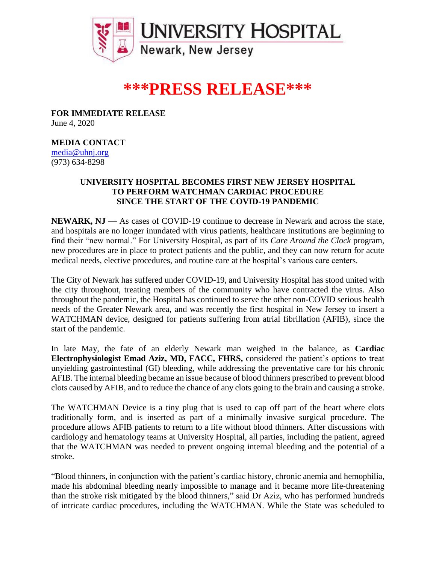

## **\*\*\*PRESS RELEASE\*\*\***

**FOR IMMEDIATE RELEASE** June 4, 2020

## **MEDIA CONTACT**

[media@uhnj.org](mailto:media@uhnj.org)  (973) 634-8298

## **UNIVERSITY HOSPITAL BECOMES FIRST NEW JERSEY HOSPITAL TO PERFORM WATCHMAN CARDIAC PROCEDURE SINCE THE START OF THE COVID-19 PANDEMIC**

**NEWARK, NJ —** As cases of COVID-19 continue to decrease in Newark and across the state, and hospitals are no longer inundated with virus patients, healthcare institutions are beginning to find their "new normal." For University Hospital, as part of its *Care Around the Clock* program, new procedures are in place to protect patients and the public, and they can now return for acute medical needs, elective procedures, and routine care at the hospital's various care centers.

The City of Newark has suffered under COVID-19, and University Hospital has stood united with the city throughout, treating members of the community who have contracted the virus. Also throughout the pandemic, the Hospital has continued to serve the other non-COVID serious health needs of the Greater Newark area, and was recently the first hospital in New Jersey to insert a WATCHMAN device, designed for patients suffering from atrial fibrillation (AFIB), since the start of the pandemic.

In late May, the fate of an elderly Newark man weighed in the balance, as **Cardiac Electrophysiologist Emad Aziz, MD, FACC, FHRS,** considered the patient's options to treat unyielding gastrointestinal (GI) bleeding, while addressing the preventative care for his chronic AFIB. The internal bleeding became an issue because of blood thinners prescribed to prevent blood clots caused by AFIB, and to reduce the chance of any clots going to the brain and causing a stroke.

The WATCHMAN Device is a tiny plug that is used to cap off part of the heart where clots traditionally form, and is inserted as part of a minimally invasive surgical procedure. The procedure allows AFIB patients to return to a life without blood thinners. After discussions with cardiology and hematology teams at University Hospital, all parties, including the patient, agreed that the WATCHMAN was needed to prevent ongoing internal bleeding and the potential of a stroke.

"Blood thinners, in conjunction with the patient's cardiac history, chronic anemia and hemophilia, made his abdominal bleeding nearly impossible to manage and it became more life-threatening than the stroke risk mitigated by the blood thinners," said Dr Aziz, who has performed hundreds of intricate cardiac procedures, including the WATCHMAN. While the State was scheduled to